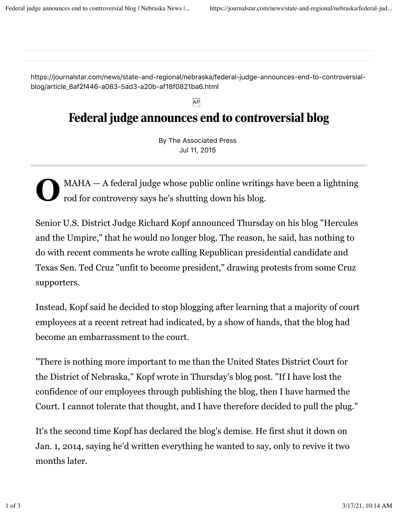https://journalstar.com/news/state-and-regional/nebraska/federal-judge-announces-end-to-controversialblog/article\_8af2f446-a083-5ad3-a20b-af18f0821ba6.html

## Federal judge announces end to controversial blog

AP

By The Associated Press Jul 11, 2015

**O** MAHA — A federal judge whose public online writings have been a lightning rod for controversy says he's shutting down his blog.

Senior U.S. District Judge Richard Kopf announced Thursday on his blog "Hercules and the Umpire," that he would no longer blog. The reason, he said, has nothing to do with recent comments he wrote calling Republican presidential candidate and Texas Sen. Ted Cruz "unfit to become president," drawing protests from some Cruz supporters.

Instead, Kopf said he decided to stop blogging after learning that a majority of court employees at a recent retreat had indicated, by a show of hands, that the blog had become an embarrassment to the court.

"There is nothing more important to me than the United States District Court for the District of Nebraska," Kopf wrote in Thursday's blog post. "If I have lost the confidence of our employees through publishing the blog, then I have harmed the Court. I cannot tolerate that thought, and I have therefore decided to pull the plug."

It's the second time Kopf has declared the blog's demise. He first shut it down on Jan. 1, 2014, saying he'd written everything he wanted to say, only to revive it two months later.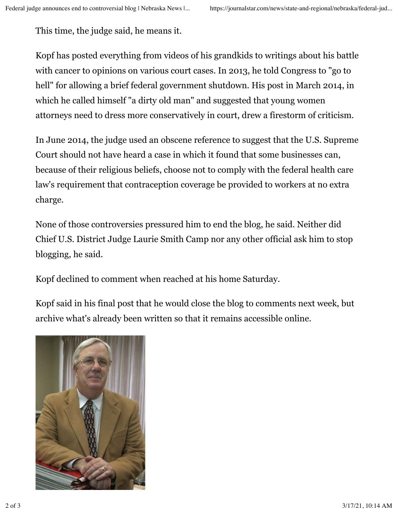This time, the judge said, he means it.

Kopf has posted everything from videos of his grandkids to writings about his battle with cancer to opinions on various court cases. In 2013, he told Congress to "go to hell" for allowing a brief federal government shutdown. His post in March 2014, in which he called himself "a dirty old man" and suggested that young women attorneys need to dress more conservatively in court, drew a firestorm of criticism.

In June 2014, the judge used an obscene reference to suggest that the U.S. Supreme Court should not have heard a case in which it found that some businesses can, because of their religious beliefs, choose not to comply with the federal health care law's requirement that contraception coverage be provided to workers at no extra charge.

None of those controversies pressured him to end the blog, he said. Neither did Chief U.S. District Judge Laurie Smith Camp nor any other official ask him to stop blogging, he said.

Kopf declined to comment when reached at his home Saturday.

Kopf said in his final post that he would close the blog to comments next week, but archive what's already been written so that it remains accessible online.